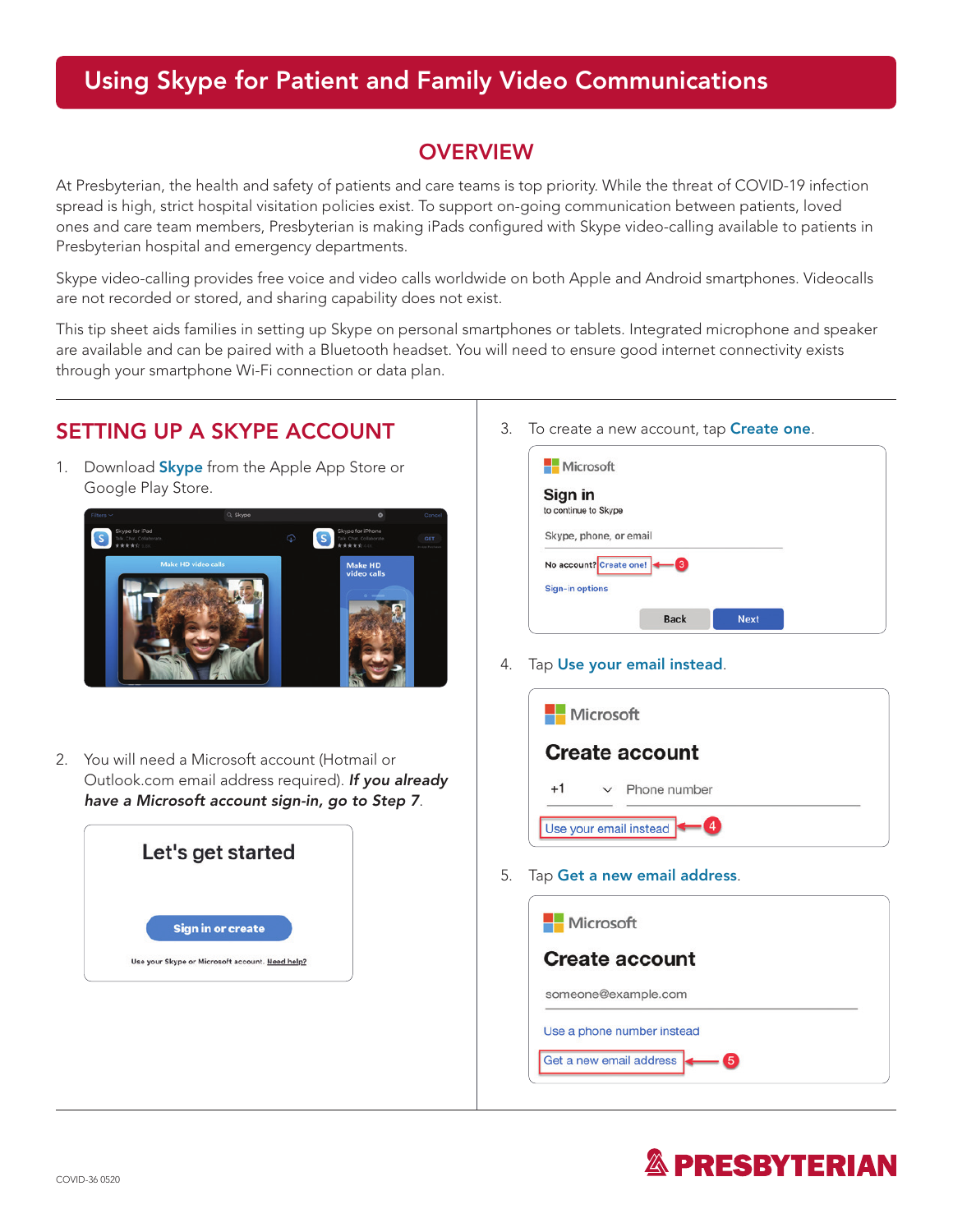## Using Skype for Patient and Family Video Communications

#### **OVERVIEW**

At Presbyterian, the health and safety of patients and care teams is top priority. While the threat of COVID-19 infection spread is high, strict hospital visitation policies exist. To support on-going communication between patients, loved ones and care team members, Presbyterian is making iPads configured with Skype video-calling available to patients in Presbyterian hospital and emergency departments.

Skype video-calling provides free voice and video calls worldwide on both Apple and Android smartphones. Videocalls are not recorded or stored, and sharing capability does not exist.

This tip sheet aids families in setting up Skype on personal smartphones or tablets. Integrated microphone and speaker are available and can be paired with a Bluetooth headset. You will need to ensure good internet connectivity exists through your smartphone Wi-Fi connection or data plan.

### SETTING UP A SKYPE ACCOUNT

1. Download **Skype** from the Apple App Store or Google Play Store.



2. You will need a Microsoft account (Hotmail or Outlook.com email address required). *If you already have a Microsoft account sign-in, go to Step 7*.



3. To create a new account, tap **Create one.** 

| Microsoft                       |             |             |  |
|---------------------------------|-------------|-------------|--|
| Sign in<br>to continue to Skype |             |             |  |
| Skype, phone, or email          |             |             |  |
| No account? Create one!         | 3           |             |  |
| <b>Sign-in options</b>          |             |             |  |
|                                 | <b>Back</b> | <b>Next</b> |  |

4. Tap Use your email instead.

| <b>Nicrosoft</b>            |                              |  |  |  |
|-----------------------------|------------------------------|--|--|--|
| <b>Create account</b>       |                              |  |  |  |
| $+1$                        | Phone number<br>$\checkmark$ |  |  |  |
| Use your email instead<br>4 |                              |  |  |  |

5. Tap Get a new email address.

| <b>Microsoft</b>             |  |
|------------------------------|--|
| <b>Create account</b>        |  |
| someone@example.com          |  |
| Use a phone number instead   |  |
| Get a new email address<br>5 |  |